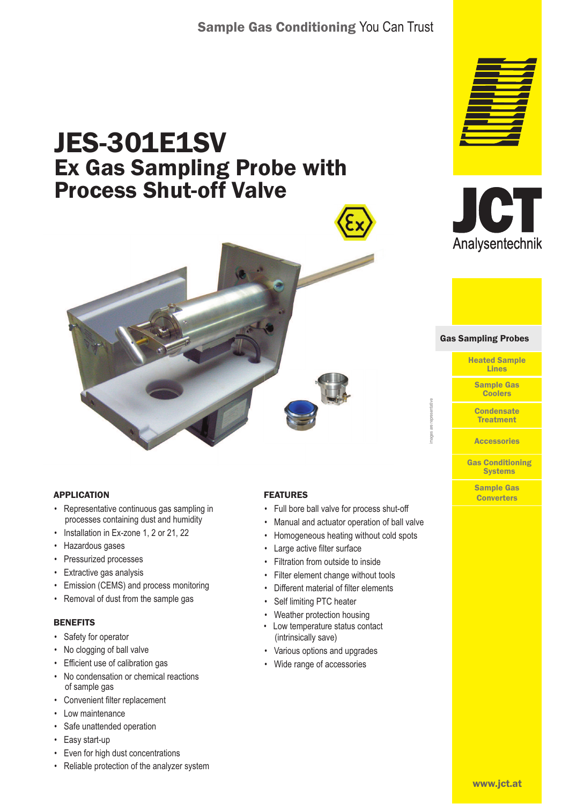# Sample Gas Conditioning You Can Trust

# JES-301E1SV Ex Gas Sampling Probe with Process Shut-off Valve







images are representative

ages

Heated Sample Lines **Condensate Treatment** Sample Gas **Coolers** 

**Accessories** 

Gas Conditioning **Systems** 

> Sample Gas **Converters**

# APPLICATION

- Representative continuous gas sampling in processes containing dust and humidity
- Installation in Ex-zone 1, 2 or 21, 22
- Hazardous gases
- Pressurized processes
- Extractive gas analysis
- Emission (CEMS) and process monitoring
- Removal of dust from the sample gas

#### **BENEFITS**

- Safety for operator
- No clogging of ball valve
- Efficient use of calibration gas
- No condensation or chemical reactions of sample gas
- Convenient filter replacement
- Low maintenance
- Safe unattended operation
- Easy start-up
- Even for high dust concentrations
- Reliable protection of the analyzer system

#### FEATURES

- Full bore ball valve for process shut-off
- Manual and actuator operation of ball valve
- Homogeneous heating without cold spots
- Large active filter surface
- Filtration from outside to inside
- Filter element change without tools
- Different material of filter elements
- Self limiting PTC heater
- Weather protection housing
- Low temperature status contact (intrinsically save)
- Various options and upgrades
- Wide range of accessories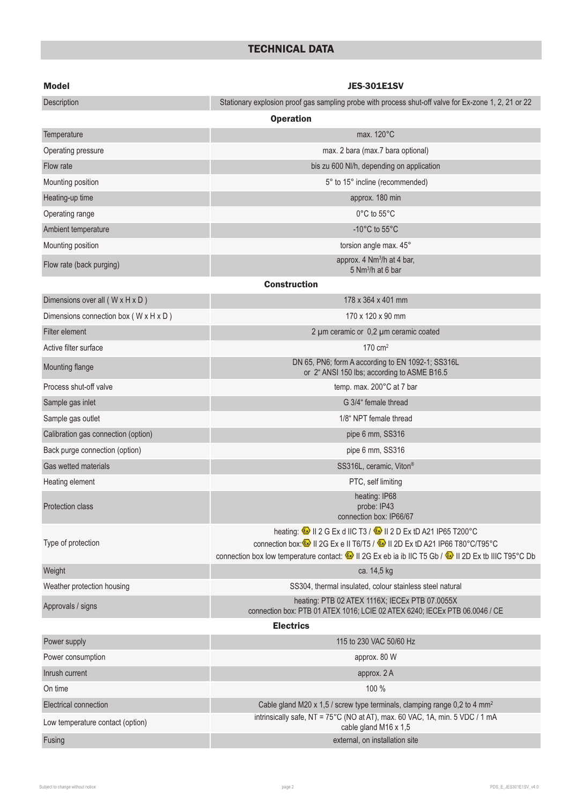# TECHNICAL DATA

| <b>Model</b>                          | <b>JES-301E1SV</b>                                                                                                                                                                                                                                                                                                            |
|---------------------------------------|-------------------------------------------------------------------------------------------------------------------------------------------------------------------------------------------------------------------------------------------------------------------------------------------------------------------------------|
| Description                           | Stationary explosion proof gas sampling probe with process shut-off valve for Ex-zone 1, 2, 21 or 22                                                                                                                                                                                                                          |
|                                       | <b>Operation</b>                                                                                                                                                                                                                                                                                                              |
| Temperature                           | max. 120°C                                                                                                                                                                                                                                                                                                                    |
| Operating pressure                    | max. 2 bara (max.7 bara optional)                                                                                                                                                                                                                                                                                             |
| Flow rate                             | bis zu 600 Nl/h, depending on application                                                                                                                                                                                                                                                                                     |
| Mounting position                     | 5° to 15° incline (recommended)                                                                                                                                                                                                                                                                                               |
| Heating-up time                       | approx. 180 min                                                                                                                                                                                                                                                                                                               |
| Operating range                       | 0°C to 55°C                                                                                                                                                                                                                                                                                                                   |
| Ambient temperature                   | -10 $^{\circ}$ C to 55 $^{\circ}$ C                                                                                                                                                                                                                                                                                           |
| Mounting position                     | torsion angle max. 45°                                                                                                                                                                                                                                                                                                        |
| Flow rate (back purging)              | approx. 4 Nm <sup>3</sup> /h at 4 bar,<br>5 Nm <sup>3</sup> /h at 6 bar                                                                                                                                                                                                                                                       |
|                                       | <b>Construction</b>                                                                                                                                                                                                                                                                                                           |
| Dimensions over all (W x H x D)       | 178 x 364 x 401 mm                                                                                                                                                                                                                                                                                                            |
| Dimensions connection box (W x H x D) | 170 x 120 x 90 mm                                                                                                                                                                                                                                                                                                             |
| Filter element                        | 2 um ceramic or 0,2 um ceramic coated                                                                                                                                                                                                                                                                                         |
| Active filter surface                 | $170 \text{ cm}^2$                                                                                                                                                                                                                                                                                                            |
| Mounting flange                       | DN 65, PN6; form A according to EN 1092-1; SS316L<br>or 2" ANSI 150 lbs; according to ASME B16.5                                                                                                                                                                                                                              |
| Process shut-off valve                | temp. max. 200°C at 7 bar                                                                                                                                                                                                                                                                                                     |
| Sample gas inlet                      | G 3/4" female thread                                                                                                                                                                                                                                                                                                          |
| Sample gas outlet                     | 1/8" NPT female thread                                                                                                                                                                                                                                                                                                        |
| Calibration gas connection (option)   | pipe 6 mm, SS316                                                                                                                                                                                                                                                                                                              |
| Back purge connection (option)        | pipe 6 mm, SS316                                                                                                                                                                                                                                                                                                              |
| Gas wetted materials                  | SS316L, ceramic, Viton <sup>®</sup>                                                                                                                                                                                                                                                                                           |
| Heating element                       | PTC, self limiting                                                                                                                                                                                                                                                                                                            |
| <b>Protection class</b>               | heating: IP68<br>probe: IP43<br>connection box: IP66/67                                                                                                                                                                                                                                                                       |
| Type of protection                    | heating: $\overline{\mathbb{Q}}$ II 2 G Ex d IIC T3 / $\overline{\mathbb{Q}}$ II 2 D Ex tD A21 IP65 T200°C<br>connection box: <a>&gt; II 2G Ex e II T6/T5 / <a>&gt; <a> II 2D Ex tD A21 IP66 T80°C/T95°C<br/>connection box low temperature contact: (۞ II 2G Ex eb ia ib IIC T5 Gb / ۞ II 2D Ex tb IIIC T95°C Db</a></a></a> |
| Weight                                | ca. 14,5 kg                                                                                                                                                                                                                                                                                                                   |
| Weather protection housing            | SS304, thermal insulated, colour stainless steel natural                                                                                                                                                                                                                                                                      |
| Approvals / signs                     | heating: PTB 02 ATEX 1116X; IECEx PTB 07.0055X<br>connection box: PTB 01 ATEX 1016; LCIE 02 ATEX 6240; IECEx PTB 06.0046 / CE                                                                                                                                                                                                 |
|                                       | <b>Electrics</b>                                                                                                                                                                                                                                                                                                              |
| Power supply                          | 115 to 230 VAC 50/60 Hz                                                                                                                                                                                                                                                                                                       |
| Power consumption                     | approx. 80 W                                                                                                                                                                                                                                                                                                                  |
| Inrush current                        | approx. 2 A                                                                                                                                                                                                                                                                                                                   |
| On time                               | 100 %                                                                                                                                                                                                                                                                                                                         |
| <b>Electrical connection</b>          | Cable gland M20 x 1,5 / screw type terminals, clamping range 0,2 to 4 mm <sup>2</sup>                                                                                                                                                                                                                                         |
| Low temperature contact (option)      | intrinsically safe, NT = 75°C (NO at AT), max. 60 VAC, 1A, min. 5 VDC / 1 mA<br>cable gland M16 x 1,5                                                                                                                                                                                                                         |
| Fusing                                | external, on installation site                                                                                                                                                                                                                                                                                                |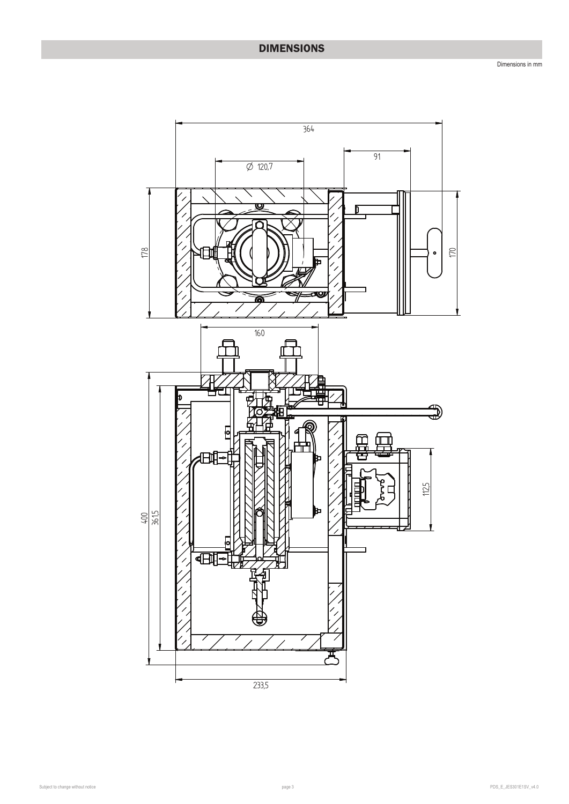Dimensions in mm

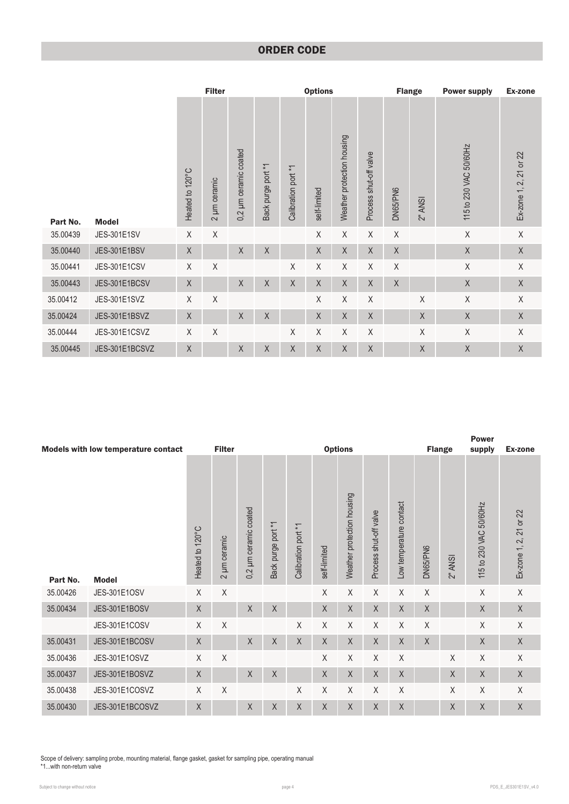### ORDER CODE

|          |                     |                 | <b>Filter</b>        |                          | <b>Options</b>        |                     |              |                            |                           |              | <b>Flange</b> | <b>Power supply</b>    | Ex-zone                |
|----------|---------------------|-----------------|----------------------|--------------------------|-----------------------|---------------------|--------------|----------------------------|---------------------------|--------------|---------------|------------------------|------------------------|
| Part No. | <b>Model</b>        | Heated to 120°C | um ceramic<br>$\sim$ | um ceramic coated<br>0,2 | port *1<br>Back purge | Calibration port *1 | self-limited | Weather protection housing | shut-off valve<br>Process | DN65/PN6     | $2"$ ANSI     | 115 to 230 VAC 50/60Hz | Ex-zone 1, 2, 21 or 22 |
| 35.00439 | <b>JES-301E1SV</b>  | X               | $\mathsf X$          |                          |                       |                     | X            | X                          | X                         | X            |               | $\mathsf X$            | $\sf X$                |
| 35.00440 | <b>JES-301E1BSV</b> | $\mathsf X$     |                      | X                        | $\chi$                |                     | $\mathsf X$  | $\mathsf X$                | $\mathsf{X}$              | $\mathsf{X}$ |               | $\mathsf X$            | $\mathsf X$            |
| 35.00441 | JES-301E1CSV        | X               | $\mathsf X$          |                          |                       | X                   | X            | X                          | X                         | X            |               | $\mathsf X$            | $\sf X$                |
| 35.00443 | JES-301E1BCSV       | $\mathsf X$     |                      | X                        | X                     | X                   | $\mathsf X$  | $\mathsf X$                | X                         | $\sf X$      |               | $\mathsf X$            | $\mathsf X$            |
| 35.00412 | JES-301E1SVZ        | X               | $\chi$               |                          |                       |                     | Χ            | Χ                          | X                         |              | X             | X                      | $\mathsf X$            |
| 35.00424 | JES-301E1BSVZ       | $\mathsf X$     |                      | $\mathsf X$              | $\sf X$               |                     | $\mathsf X$  | $\mathsf X$                | X                         |              | X             | $\mathsf X$            | $\mathsf X$            |
| 35.00444 | JES-301E1CSVZ       | X               | X                    |                          |                       | Χ                   | X            | X                          | X                         |              | X             | $\mathsf X$            | $\mathsf X$            |
| 35.00445 | JES-301E1BCSVZ      | Χ               |                      | $\mathsf X$              | $\sf X$               | Χ                   | Χ            | $\mathsf X$                | $\mathsf X$               |              | X             | $\mathsf X$            | $\mathsf X$            |

|                                            |                     |                 |               |                       |                                     |                     |              |                            |                        |                         |               |             | <b>Power</b>           |                        |
|--------------------------------------------|---------------------|-----------------|---------------|-----------------------|-------------------------------------|---------------------|--------------|----------------------------|------------------------|-------------------------|---------------|-------------|------------------------|------------------------|
| <b>Models with low temperature contact</b> |                     |                 | <b>Filter</b> |                       |                                     | <b>Options</b>      |              |                            |                        |                         | <b>Flange</b> |             | supply                 | Ex-zone                |
| Part No.                                   | <b>Model</b>        | Heated to 120°C | 2 um ceramic  | 0,2 µm ceramic coated | $\sum_{\ast}$<br>port<br>Back purge | Calibration port *1 | self-limited | Weather protection housing | Process shut-off valve | Low temperature contact | DN65/PN6      | $2"$ ANSI   | 115 to 230 VAC 50/60Hz | Ex-zone 1, 2, 21 or 22 |
| 35.00426                                   | <b>JES-301E1OSV</b> | X               | X             |                       |                                     |                     | X            | X                          | X                      | X                       | X             |             | Χ                      | $\mathsf X$            |
| 35.00434                                   | JES-301E1BOSV       | $\mathsf X$     |               | Χ                     | X                                   |                     | $\mathsf X$  | $\mathsf X$                | $\mathsf X$            | $\mathsf X$             | $\mathsf X$   |             | $\mathsf X$            | $\mathsf X$            |
|                                            | JES-301E1COSV       | X               | X             |                       |                                     | X                   | $\mathsf X$  | $\mathsf X$                | Χ                      | $\mathsf X$             | $\mathsf X$   |             | Χ                      | $\mathsf X$            |
| 35.00431                                   | JES-301E1BCOSV      | $\mathsf X$     |               | Χ                     | X                                   | $\mathsf X$         | $\mathsf X$  | $\mathsf X$                | $\mathsf X$            | $\mathsf X$             | $\mathsf X$   |             | $\mathsf X$            | $\mathsf X$            |
| 35.00436                                   | JES-301E1OSVZ       | X               | X             |                       |                                     |                     | X            | X                          | X                      | $\mathsf X$             |               | X           | X                      | $\mathsf X$            |
| 35.00437                                   | JES-301E1BOSVZ      | X               |               | $\mathsf X$           | X                                   |                     | $\times$     | $\mathsf X$                | $\mathsf X$            | $\mathsf X$             |               | $\mathsf X$ | Χ                      | $\mathsf X$            |
| 35.00438                                   | JES-301E1COSVZ      | X               | X             |                       |                                     | X                   | X            | $\mathsf X$                | Χ                      | $\mathsf X$             |               | X           | X                      | $\mathsf X$            |
| 35.00430                                   | JES-301E1BCOSVZ     | $\mathsf X$     |               | $\mathsf X$           | $\mathsf X$                         | $\mathsf X$         | $\mathsf X$  | $\mathsf X$                | $\mathsf X$            | $\mathsf X$             |               | Χ           | $\mathsf X$            | $\mathsf X$            |

Scope of delivery: sampling probe, mounting material, flange gasket, gasket for sampling pipe, operating manual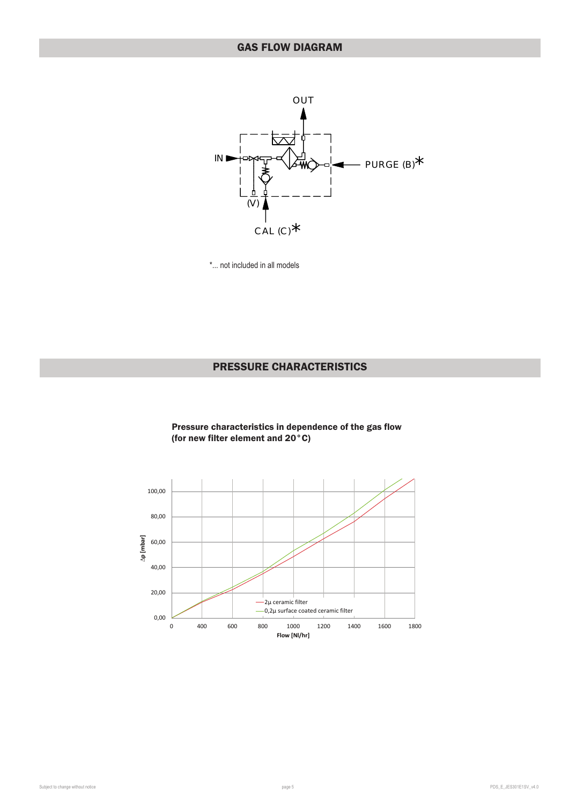

\*... not included in all models

#### PRESSURE CHARACTERISTICS

## Pressure characteristics in dependence of the gas flow (for new filter element and 20°C)